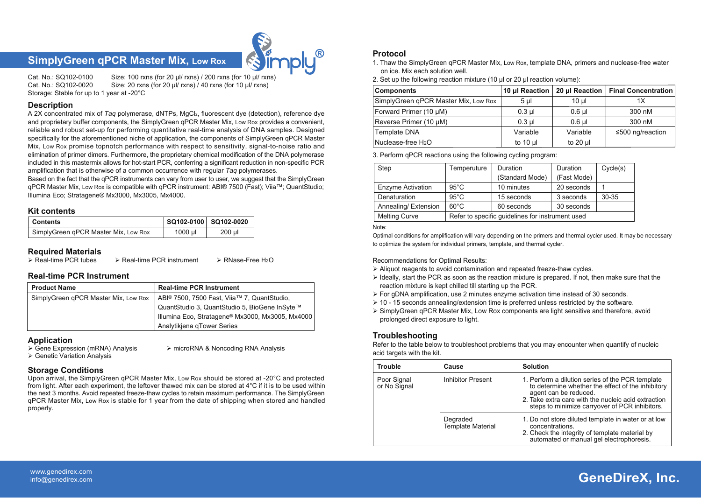## **SimplyGreen qPCR Master Mix, Low Rox**



Cat. No.: SQ102-0100 Size: 100 rxns (for 20 μl/ rxns) / 200 rxns (for 10 μl/ rxns) Size: 20 rxns (for 20 μl/ rxns) / 40 rxns (for 10 μl/ rxns) Storage: Stable for up to 1 year at -20°C

**Description**

A 2X concentrated mix of *Taq* polymerase, dNTPs, MgCl2, fluorescent dye (detection), reference dye and proprietary buffer components, the SimplyGreen qPCR Master Mix, Low Rox provides a convenient, reliable and robust set-up for performing quantitative real-time analysis of DNA samples. Designed specifically for the aforementioned niche of application, the components of SimplyGreen qPCR Master Mix, Low Rox promise topnotch performance with respect to sensitivity, signal-to-noise ratio and elimination of primer dimers. Furthermore, the proprietary chemical modification of the DNA polymerase included in this mastermix allows for hot-start PCR, conferring a significant reduction in non-specific PCR amplification that is otherwise of a common occurrence with regular *Taq* polymerases.

Based on the fact that the qPCR instruments can vary from user to user, we suggest that the SimplyGreen qPCR Master Mix, Low Rox is compatible with qPCR instrument: ABI® 7500 (Fast); Viia™; QuantStudio; Illumina Eco; Stratagene® Mx3000, Mx3005, Mx4000.

#### **Kit contents**

| <b>Contents</b>                      |            | SQ102-0100 SQ102-0020 |
|--------------------------------------|------------|-----------------------|
| SimplyGreen qPCR Master Mix, Low Rox | $1000 \mu$ | $200$ µl              |

# **Required Materials**<br>> Real-time PCR tubes

 $\triangleright$  Real-time PCR instrument  $\triangleright$  RNase-Free H<sub>2</sub>O

#### **Real-time PCR Instrument**

| <b>Product Name</b>                  | <b>Real-time PCR Instrument</b>                         |
|--------------------------------------|---------------------------------------------------------|
| SimplyGreen gPCR Master Mix, Low Rox | ABI <sup>®</sup> 7500, 7500 Fast, Viia™ 7, QuantStudio, |
|                                      | QuantStudio 3, QuantStudio 5, BioGene InSyte™           |
|                                      | Illumina Eco, Stratagene® Mx3000, Mx3005, Mx4000        |
|                                      | Analytikjena qTower Series                              |

**Application**<br>
> Gene Expression (mRNA) Analysis

Genetic Variation Analysis

#### **Storage Conditions**

Upon arrival, the SimplyGreen qPCR Master Mix, Low Rox should be stored at -20°C and protected from light. After each experiment, the leftover thawed mix can be stored at  $4^{\circ}$ C if it is to be used within the next 3 months. Avoid repeated freeze-thaw cycles to retain maximum performance. The SimplyGreen qPCR Master Mix, Low Rox is stable for 1 year from the date of shipping when stored and handled properly.

 $\triangleright$  microRNA & Noncoding RNA Analysis

#### **Protocol**

- 1. Thaw the SimplyGreen qPCR Master Mix, Low Rox, template DNA, primers and nuclease-free water on ice. Mix each solution well.
- 2. Set up the following reaction mixture (10 μl or 20 μl reaction volume):

| <b>Components</b>                    | 10 µl Reaction |             | 20 µl Reaction   Final Concentration |
|--------------------------------------|----------------|-------------|--------------------------------------|
| SimplyGreen qPCR Master Mix, Low Rox | $5 \mu$        | 10 ul       | 1X                                   |
| Forward Primer (10 µM)               | $0.3$ µl       | $0.6$ ul    | 300 nM                               |
| Reverse Primer (10 µM)               | $0.3$ ul       | $0.6$ ul    | 300 nM                               |
| <b>Template DNA</b>                  | Variable       | Variable    | ≤500 ng/reaction                     |
| Nuclease-free H <sub>2</sub> O       | to 10 $\mu$    | to $20 \mu$ |                                      |

3. Perform qPCR reactions using the following cycling program:

| Step                     | Temperuture                                      | Duration        | <b>Duration</b> | Cycle(s) |
|--------------------------|--------------------------------------------------|-----------------|-----------------|----------|
|                          |                                                  | (Standard Mode) | (Fast Mode)     |          |
| <b>Enzyme Activation</b> | $95^{\circ}$ C                                   | 10 minutes      | 20 seconds      |          |
| Denaturation             | $95^{\circ}$ C                                   | 15 seconds      | 3 seconds       | 30-35    |
| Annealing/Extension      | $60^{\circ}$ C                                   | 60 seconds      | 30 seconds      |          |
| <b>Melting Curve</b>     | Refer to specific guidelines for instrument used |                 |                 |          |

Note:

Optimal conditions for amplification will vary depending on the primers and thermal cycler used. It may be necessary to optimize the system for individual primers, template, and thermal cycler.

#### Recommendations for Optimal Results:

- $\triangleright$  Aliquot reagents to avoid contamination and repeated freeze-thaw cycles.
- $\triangleright$  Ideally, start the PCR as soon as the reaction mixture is prepared. If not, then make sure that the reaction mixture is kept chilled till starting up the PCR.
- $\triangleright$  For gDNA amplification, use 2 minutes enzyme activation time instead of 30 seconds.
- $\geq 10$  15 seconds annealing/extension time is preferred unless restricted by the software.
- SimplyGreen qPCR Master Mix, Low Rox components are light sensitive and therefore, avoid prolonged direct exposure to light.

#### **Troubleshooting**

Refer to the table below to troubleshoot problems that you may encounter when quantify of nucleic acid targets with the kit.

| <b>Trouble</b>              | Cause                         | <b>Solution</b>                                                                                                                                                                                                                         |
|-----------------------------|-------------------------------|-----------------------------------------------------------------------------------------------------------------------------------------------------------------------------------------------------------------------------------------|
| Poor Signal<br>or No Signal | Inhibitor Present             | 1. Perform a dilution series of the PCR template<br>to determine whether the effect of the inhibitory<br>agent can be reduced.<br>2. Take extra care with the nucleic acid extraction<br>steps to minimize carryover of PCR inhibitors. |
|                             | Degraded<br>Template Material | 1. Do not store diluted template in water or at low<br>concentrations.<br>2. Check the integrity of template material by<br>automated or manual gel electrophoresis.                                                                    |